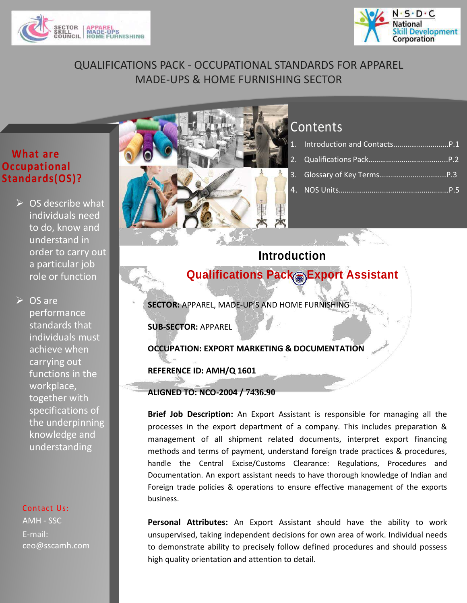



# QUALIFICATIONS PACK - OCCUPATIONAL STANDARDS FOR APPAREL MADE-UPS & HOME FURNISHING SECTOR

### **What are Occupational Standards(OS)?**

 $\triangleright$  OS describe what individuals need to do, know and understand in order to carry out a particular job role or function

**▷ OS are** performance standards that individuals must achieve when carrying out functions in the workplace, together with specifications of the underpinning knowledge and understanding

#### Contact Us:

AMH - SSC E-mail: ceo@sscamh.com



# **Contents**

1. Introduction and Contacts..[….……….……..….](#page-0-0)P.1 2. Qualifications Pack……….………………............P.2 3. [Glossary of Key Terms…….……..……….……...](#page-2-0)P.3 4. NOS Units…………………………………………………P.5

**Qualifications Pack – Export Assistant Introduction**

<span id="page-0-0"></span>**SECTOR:** APPAREL, MADE-UP'S AND HOME FURNISHING

**SECTOR: INFORMATION TECHNOLOGY- INFORMATION TECHNOLOGY ENABLED SERVICES (IT-SUB-SECTOR:** APPAREL

**ITES)ces Helpdesk Attendant OCCUPATION: EXPORT MARKETING & DOCUMENTATION**

**REFERENCE ID: AMH/Q 1601**

**ALIGNED TO: NCO-2004 / 7436.90**

**Brief Job Description:** An Export Assistant is responsible for managing all the processes in the export department of a company. This includes preparation & management of all shipment related documents, interpret export financing methods and terms of payment, understand foreign trade practices & procedures, handle the Central Excise/Customs Clearance: Regulations, Procedures and Documentation. An export assistant needs to have thorough knowledge of Indian and Foreign trade policies & operations to ensure effective management of the exports business.

**Personal Attributes:** An Export Assistant should have the ability to work unsupervised, taking independent decisions for own area of work. Individual needs to demonstrate ability to precisely follow defined procedures and should possess high quality orientation and attention to detail.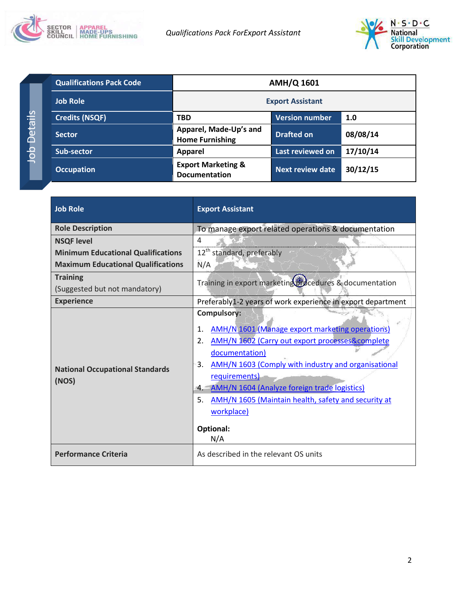



| <b>Qualifications Pack Code</b> | <b>AMH/Q 1601</b>                                     |                         |          |
|---------------------------------|-------------------------------------------------------|-------------------------|----------|
| <b>Job Role</b>                 |                                                       | <b>Export Assistant</b> |          |
| <b>Credits (NSQF)</b>           | <b>TBD</b>                                            | <b>Version number</b>   | 1.0      |
| <b>Sector</b>                   | Apparel, Made-Up's and<br><b>Home Furnishing</b>      | <b>Drafted on</b>       | 08/08/14 |
| Sub-sector                      | <b>Apparel</b>                                        | Last reviewed on        | 17/10/14 |
| <b>Occupation</b>               | <b>Export Marketing &amp;</b><br><b>Documentation</b> | Next review date        | 30/12/15 |

| <b>Job Role</b>                                 | <b>Export Assistant</b>                                                                                                                                                                                                                                                                                                                                                                                      |
|-------------------------------------------------|--------------------------------------------------------------------------------------------------------------------------------------------------------------------------------------------------------------------------------------------------------------------------------------------------------------------------------------------------------------------------------------------------------------|
| <b>Role Description</b>                         | To manage export related operations & documentation                                                                                                                                                                                                                                                                                                                                                          |
| <b>NSQF level</b>                               | 4                                                                                                                                                                                                                                                                                                                                                                                                            |
| <b>Minimum Educational Qualifications</b>       | 12 <sup>th</sup> standard, preferably                                                                                                                                                                                                                                                                                                                                                                        |
| <b>Maximum Educational Qualifications</b>       | N/A                                                                                                                                                                                                                                                                                                                                                                                                          |
| <b>Training</b>                                 | Training in export marketing cocedures & documentation                                                                                                                                                                                                                                                                                                                                                       |
| (Suggested but not mandatory)                   |                                                                                                                                                                                                                                                                                                                                                                                                              |
| <b>Experience</b>                               | Preferably1-2 years of work experience in export department                                                                                                                                                                                                                                                                                                                                                  |
| <b>National Occupational Standards</b><br>(NOS) | Compulsory:<br><b>AMH/N 1601 (Manage export marketing operations)</b><br>1.<br><b>AMH/N 1602 (Carry out export processes&amp;complete</b><br>2.<br>documentation)<br>3.<br>AMH/N 1603 (Comply with industry and organisational<br>requirements)<br>AMH/N 1604 (Analyze foreign trade logistics)<br>4.1<br>5.<br>AMH/N 1605 (Maintain health, safety and security at<br>workplace)<br><b>Optional:</b><br>N/A |
| <b>Performance Criteria</b>                     | As described in the relevant OS units                                                                                                                                                                                                                                                                                                                                                                        |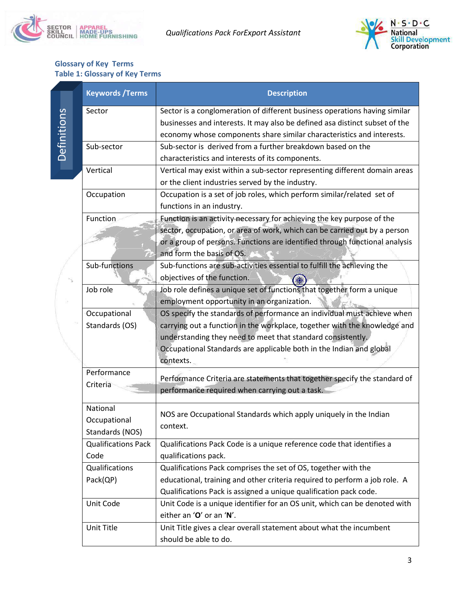



#### <span id="page-2-0"></span>**Glossary of Key Terms Table 1: Glossary of Key Terms**

|             | <b>Keywords / Terms</b>    | <b>Description</b>                                                          |
|-------------|----------------------------|-----------------------------------------------------------------------------|
|             | Sector                     | Sector is a conglomeration of different business operations having similar  |
| Definitions |                            | businesses and interests. It may also be defined asa distinct subset of the |
|             |                            | economy whose components share similar characteristics and interests.       |
|             | Sub-sector                 | Sub-sector is derived from a further breakdown based on the                 |
|             |                            | characteristics and interests of its components.                            |
|             | Vertical                   | Vertical may exist within a sub-sector representing different domain areas  |
|             |                            | or the client industries served by the industry.                            |
|             | Occupation                 | Occupation is a set of job roles, which perform similar/related set of      |
|             |                            | functions in an industry.                                                   |
|             | Function                   | Function is an activity necessary for achieving the key purpose of the      |
|             |                            | sector, occupation, or area of work, which can be carried out by a person   |
|             |                            | or a group of persons. Functions are identified through functional analysis |
|             |                            | and form the basis of OS.                                                   |
|             | Sub-functions              | Sub-functions are sub-activities essential to fulfill the achieving the     |
|             |                            | objectives of the function.                                                 |
|             | Job role                   | Job role defines a unique set of functions that together form a unique      |
|             |                            | employment opportunity in an organization.                                  |
|             | Occupational               | OS specify the standards of performance an individual must achieve when     |
|             | Standards (OS)             | carrying out a function in the workplace, together with the knowledge and   |
|             |                            | understanding they need to meet that standard consistently.                 |
|             |                            | Occupational Standards are applicable both in the Indian and global         |
|             |                            | contexts.                                                                   |
|             | Performance                | Performance Criteria are statements that together specify the standard of   |
|             | Criteria                   | performance required when carrying out a task.                              |
|             |                            |                                                                             |
|             | National                   | NOS are Occupational Standards which apply uniquely in the Indian           |
|             | Occupational               | context.                                                                    |
|             | Standards (NOS)            |                                                                             |
|             | <b>Qualifications Pack</b> | Qualifications Pack Code is a unique reference code that identifies a       |
|             | Code                       | qualifications pack.                                                        |
|             | Qualifications             | Qualifications Pack comprises the set of OS, together with the              |
|             | Pack(QP)                   | educational, training and other criteria required to perform a job role. A  |
|             |                            | Qualifications Pack is assigned a unique qualification pack code.           |
|             | Unit Code                  | Unit Code is a unique identifier for an OS unit, which can be denoted with  |
|             |                            | either an 'O' or an 'N'.                                                    |
|             | Unit Title                 | Unit Title gives a clear overall statement about what the incumbent         |
|             |                            | should be able to do.                                                       |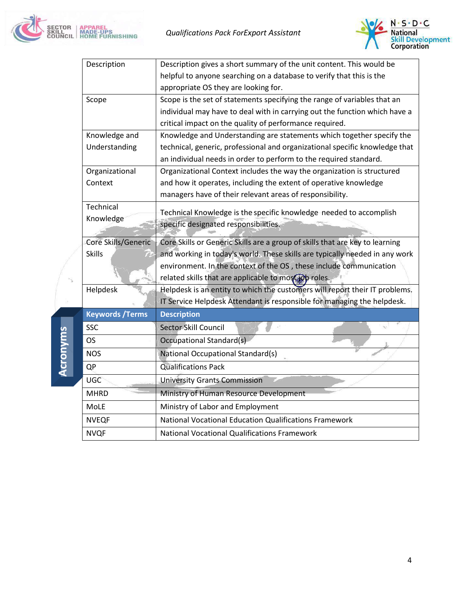



| Description             | Description gives a short summary of the unit content. This would be         |
|-------------------------|------------------------------------------------------------------------------|
|                         | helpful to anyone searching on a database to verify that this is the         |
|                         | appropriate OS they are looking for.                                         |
| Scope                   | Scope is the set of statements specifying the range of variables that an     |
|                         | individual may have to deal with in carrying out the function which have a   |
|                         | critical impact on the quality of performance required.                      |
| Knowledge and           | Knowledge and Understanding are statements which together specify the        |
| Understanding           | technical, generic, professional and organizational specific knowledge that  |
|                         | an individual needs in order to perform to the required standard.            |
| Organizational          | Organizational Context includes the way the organization is structured       |
| Context                 | and how it operates, including the extent of operative knowledge             |
|                         | managers have of their relevant areas of responsibility.                     |
| Technical               | Technical Knowledge is the specific knowledge needed to accomplish           |
| Knowledge               | specific designated responsibilities.                                        |
|                         |                                                                              |
| Core Skills/Generic     | Core Skills or Generic Skills are a group of skills that are key to learning |
| <b>Skills</b>           | and working in today's world. These skills are typically needed in any work  |
|                         | environment. In the context of the OS, these include communication           |
|                         | related skills that are applicable to moscupp roles.                         |
| Helpdesk                | Helpdesk is an entity to which the customers will report their IT problems.  |
|                         | IT Service Helpdesk Attendant is responsible for managing the helpdesk.      |
| <b>Keywords / Terms</b> | <b>Description</b>                                                           |
| <b>SSC</b>              | Sector Skill Council                                                         |
| OS                      | <b>Occupational Standard(s)</b>                                              |
| <b>NOS</b>              | National Occupational Standard(s)                                            |
| QP                      | <b>Qualifications Pack</b>                                                   |
| UGC                     | <b>University Grants Commission</b>                                          |
|                         |                                                                              |
| <b>MHRD</b>             | Ministry of Human Resource Development                                       |
| MoLE                    | Ministry of Labor and Employment                                             |
| <b>NVEQF</b>            | National Vocational Education Qualifications Framework                       |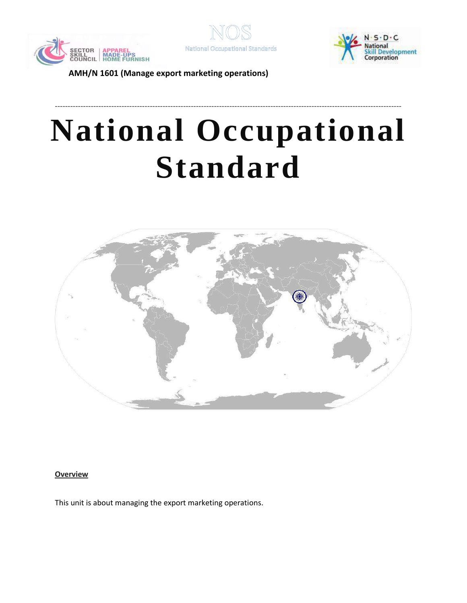





# **National Occupational Standard**

---------------------------------------------------------------------------------------------------------------------------------------



<span id="page-4-0"></span>**Overview** 

This unit is about managing the export marketing operations.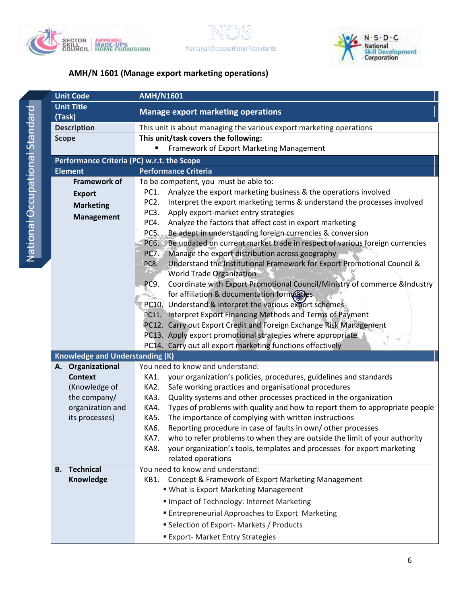





|                                  | <b>AIVIH/IN 1601 (IVIANA</b> |   |
|----------------------------------|------------------------------|---|
|                                  | <b>Unit Code</b>             | А |
|                                  | <b>Unit Title</b>            | Ñ |
|                                  | (Task)                       |   |
|                                  | <b>Description</b>           | T |
|                                  | <b>Scope</b>                 | Τ |
|                                  | Performance Criteria (PC)    |   |
|                                  | <b>Element</b>               | P |
|                                  | <b>Framework of</b>          | Т |
|                                  | <b>Export</b>                |   |
|                                  | <b>Marketing</b>             |   |
|                                  | <b>Management</b>            |   |
| ouepuels, leuoliegnopo, leuoliei |                              |   |
|                                  |                              |   |
|                                  |                              |   |

| <b>Unit Code</b>                           | <b>AMH/N1601</b>                                                                                              |  |
|--------------------------------------------|---------------------------------------------------------------------------------------------------------------|--|
| <b>Unit Title</b><br>(Task)                | <b>Manage export marketing operations</b>                                                                     |  |
| <b>Description</b>                         | This unit is about managing the various export marketing operations                                           |  |
| <b>Scope</b>                               | This unit/task covers the following:                                                                          |  |
|                                            | Framework of Export Marketing Management                                                                      |  |
| Performance Criteria (PC) w.r.t. the Scope |                                                                                                               |  |
| <b>Element</b>                             | <b>Performance Criteria</b>                                                                                   |  |
| <b>Framework of</b>                        | To be competent, you must be able to:                                                                         |  |
| <b>Export</b>                              | Analyze the export marketing business & the operations involved<br>PC1.                                       |  |
| <b>Marketing</b>                           | PC <sub>2</sub> .<br>Interpret the export marketing terms & understand the processes involved                 |  |
| <b>Management</b>                          | PC <sub>3</sub> .<br>Apply export-market entry strategies                                                     |  |
|                                            | Analyze the factors that affect cost in export marketing<br>PC4.                                              |  |
|                                            | PC5.<br>Be adept in understanding foreign currencies & conversion                                             |  |
|                                            | Be updated on current market trade in respect of various foreign currencies<br>PC6.                           |  |
|                                            | Manage the export distribution across geography<br><b>PC7.</b>                                                |  |
|                                            | Understand the Institutional Framework for Export Promotional Council &<br>PC8.                               |  |
|                                            | <b>World Trade Organization</b><br>Coordinate with Export Promotional Council/Ministry of commerce & Industry |  |
|                                            | PC9.<br>for affiliation & documentation formalities                                                           |  |
|                                            | PC10. Understand & interpret the various export schemes                                                       |  |
|                                            | PC11. Interpret Export Financing Methods and Terms of Payment                                                 |  |
|                                            | PC12. Carry out Export Credit and Foreign Exchange Risk Management                                            |  |
|                                            | PC13. Apply export promotional strategies where appropriate                                                   |  |
|                                            | PC14. Carry out all export marketing functions effectively                                                    |  |
| <b>Knowledge and Understanding (K)</b>     |                                                                                                               |  |
| Organizational<br>А.                       | You need to know and understand:                                                                              |  |
| <b>Context</b>                             | your organization's policies, procedures, guidelines and standards<br>KA1.                                    |  |
| (Knowledge of                              | Safe working practices and organisational procedures<br>KA2.                                                  |  |
| the company/                               | Quality systems and other processes practiced in the organization<br>KA3.                                     |  |
| organization and                           | Types of problems with quality and how to report them to appropriate people<br>KA4.                           |  |
| its processes)                             | The importance of complying with written instructions<br>KA5.                                                 |  |
|                                            | KA6.<br>Reporting procedure in case of faults in own/other processes                                          |  |
|                                            | who to refer problems to when they are outside the limit of your authority<br>KA7.                            |  |
|                                            | your organization's tools, templates and processes for export marketing<br>KA8.                               |  |
|                                            | related operations                                                                                            |  |
| <b>B.</b> Technical                        | You need to know and understand:                                                                              |  |
| Knowledge                                  | Concept & Framework of Export Marketing Management<br>KB1.                                                    |  |
|                                            | " What is Export Marketing Management                                                                         |  |
|                                            | Impact of Technology: Internet Marketing                                                                      |  |
|                                            | <b>Entrepreneurial Approaches to Export Marketing</b>                                                         |  |
|                                            | Selection of Export-Markets / Products                                                                        |  |
|                                            | <b>Export- Market Entry Strategies</b>                                                                        |  |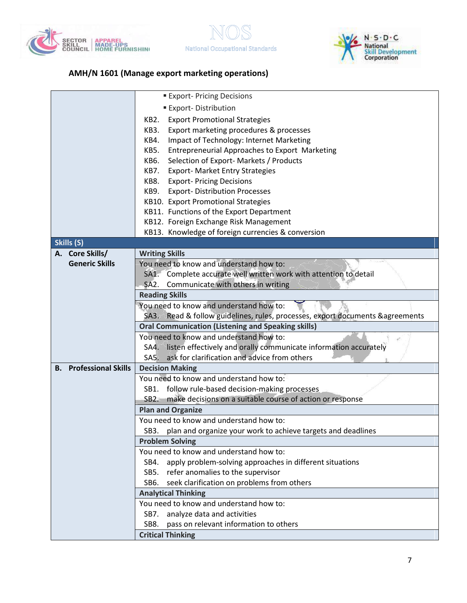





|                               | <b>Export-Pricing Decisions</b>                                                |  |
|-------------------------------|--------------------------------------------------------------------------------|--|
|                               | <b>Export-Distribution</b>                                                     |  |
|                               | KB2.<br><b>Export Promotional Strategies</b>                                   |  |
|                               | Export marketing procedures & processes<br>KB3.                                |  |
|                               | Impact of Technology: Internet Marketing<br>KB4.                               |  |
|                               | <b>Entrepreneurial Approaches to Export Marketing</b><br>KB5.                  |  |
|                               | Selection of Export-Markets / Products<br>KB6.                                 |  |
|                               | <b>Export- Market Entry Strategies</b><br>KB7.                                 |  |
|                               | <b>Export-Pricing Decisions</b><br>KB8.                                        |  |
|                               | <b>Export-Distribution Processes</b><br>KB9.                                   |  |
|                               | KB10. Export Promotional Strategies                                            |  |
|                               | KB11. Functions of the Export Department                                       |  |
|                               | KB12. Foreign Exchange Risk Management                                         |  |
|                               | KB13. Knowledge of foreign currencies & conversion                             |  |
| Skills (S)                    |                                                                                |  |
| A. Core Skills/               | <b>Writing Skills</b>                                                          |  |
| <b>Generic Skills</b>         | You need to know and understand how to:                                        |  |
|                               | SA1. Complete accurate well written work with attention to detail              |  |
|                               | SA2. Communicate with others in writing                                        |  |
|                               | <b>Reading Skills</b>                                                          |  |
|                               | You need to know and understand how to:                                        |  |
|                               | SA3. Read & follow guidelines, rules, processes, export documents & agreements |  |
|                               | <b>Oral Communication (Listening and Speaking skills)</b>                      |  |
|                               | You need to know and understand how to:                                        |  |
|                               | SA4. listen effectively and orally communicate information accurately          |  |
|                               | ask for clarification and advice from others<br>SA5.                           |  |
| <b>B.</b> Professional Skills | <b>Decision Making</b>                                                         |  |
|                               | You need to know and understand how to:                                        |  |
|                               | SB1. follow rule-based decision-making processes                               |  |
|                               | SB2. make decisions on a suitable course of action or response                 |  |
|                               | <b>Plan and Organize</b>                                                       |  |
|                               | You need to know and understand how to:                                        |  |
|                               | SB3. plan and organize your work to achieve targets and deadlines              |  |
|                               | <b>Problem Solving</b>                                                         |  |
|                               | You need to know and understand how to:                                        |  |
|                               | apply problem-solving approaches in different situations<br>SB4.               |  |
|                               | SB5. refer anomalies to the supervisor                                         |  |
|                               | seek clarification on problems from others<br>SB6.                             |  |
|                               | <b>Analytical Thinking</b>                                                     |  |
|                               | You need to know and understand how to:                                        |  |
|                               | analyze data and activities<br>SB7.                                            |  |
|                               | SB8.<br>pass on relevant information to others                                 |  |
|                               | <b>Critical Thinking</b>                                                       |  |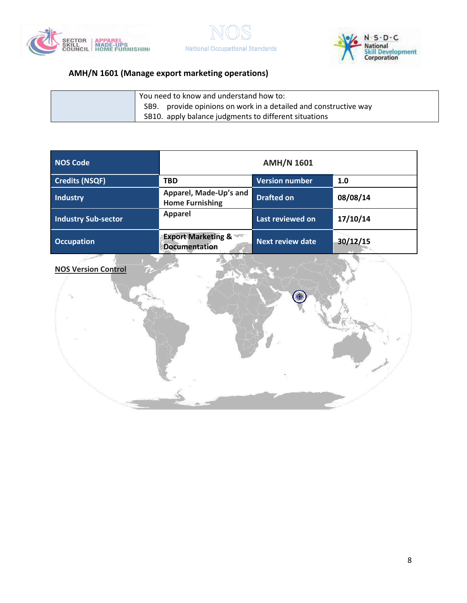





| 'You need to know and understand how to:                         |
|------------------------------------------------------------------|
| SB9. provide opinions on work in a detailed and constructive way |
| SB10. apply balance judgments to different situations            |

| <b>NOS Code</b>            |                                                       | <b>AMH/N 1601</b>       |          |
|----------------------------|-------------------------------------------------------|-------------------------|----------|
| <b>Credits (NSQF)</b>      | <b>TBD</b>                                            | Version number          | 1.0      |
| Industry                   | Apparel, Made-Up's and<br><b>Home Furnishing</b>      | <b>Drafted on</b>       | 08/08/14 |
| <b>Industry Sub-sector</b> | <b>Apparel</b>                                        | Last reviewed on        | 17/10/14 |
| <b>Occupation</b>          | <b>Export Marketing &amp;</b><br><b>Documentation</b> | <b>Next review date</b> | 30/12/15 |

#### **NOS Version Control**

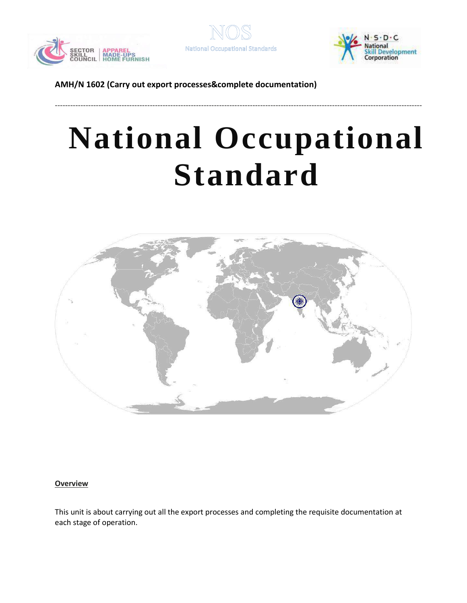





# **National Occupational Standard**

-----------------------------------------------------------------------------------------------------------------------------------------------



#### <span id="page-8-0"></span>**Overview**

This unit is about carrying out all the export processes and completing the requisite documentation at each stage of operation.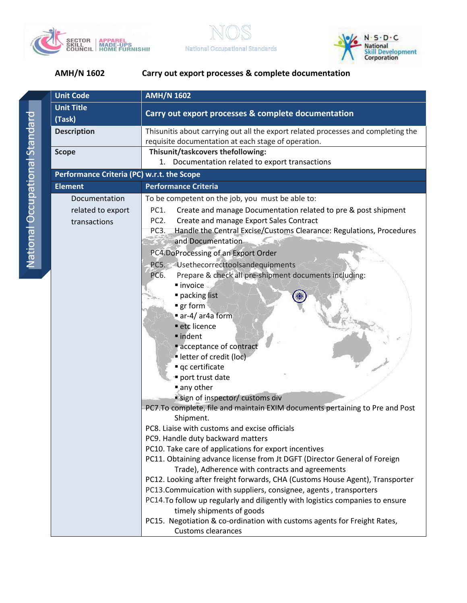



**National Occupational Standards** 

| <b>Unit Code</b>                           | <b>AMH/N 1602</b>                                                                                                                                 |  |
|--------------------------------------------|---------------------------------------------------------------------------------------------------------------------------------------------------|--|
| <b>Unit Title</b>                          |                                                                                                                                                   |  |
| (Task)                                     | Carry out export processes & complete documentation                                                                                               |  |
| <b>Description</b>                         | Thisunitis about carrying out all the export related processes and completing the<br>requisite documentation at each stage of operation.          |  |
| <b>Scope</b>                               | Thisunit/taskcovers thefollowing:                                                                                                                 |  |
|                                            | 1. Documentation related to export transactions                                                                                                   |  |
| Performance Criteria (PC) w.r.t. the Scope |                                                                                                                                                   |  |
| <b>Element</b>                             | <b>Performance Criteria</b>                                                                                                                       |  |
| Documentation                              | To be competent on the job, you must be able to:                                                                                                  |  |
| related to export                          | Create and manage Documentation related to pre & post shipment<br>PC1.                                                                            |  |
| transactions                               | PC <sub>2</sub> .<br>Create and manage Export Sales Contract                                                                                      |  |
|                                            | Handle the Central Excise/Customs Clearance: Regulations, Procedures<br>PC3.                                                                      |  |
|                                            | and Documentation                                                                                                                                 |  |
|                                            | PC4.DoProcessing of an Export Order                                                                                                               |  |
|                                            | PC5. Usethecorrecttoolsandequipments                                                                                                              |  |
|                                            | Prepare & check all pre-shipment documents including:<br>PC6.                                                                                     |  |
|                                            | · invoice                                                                                                                                         |  |
|                                            | packing list                                                                                                                                      |  |
|                                            | $\blacksquare$ gr form                                                                                                                            |  |
|                                            | ar-4/ar4a form                                                                                                                                    |  |
|                                            | etc licence<br>· indent                                                                                                                           |  |
|                                            | acceptance of contract                                                                                                                            |  |
|                                            | letter of credit (loc)                                                                                                                            |  |
|                                            | qc certificate                                                                                                                                    |  |
|                                            | port trust date                                                                                                                                   |  |
|                                            | any other                                                                                                                                         |  |
|                                            | sign of inspector/ customs div                                                                                                                    |  |
|                                            | PC7. To complete, file and maintain EXIM documents pertaining to Pre and Post                                                                     |  |
|                                            | Shipment.                                                                                                                                         |  |
|                                            | PC8. Liaise with customs and excise officials                                                                                                     |  |
|                                            | PC9. Handle duty backward matters                                                                                                                 |  |
|                                            | PC10. Take care of applications for export incentives                                                                                             |  |
|                                            | PC11. Obtaining advance license from Jt DGFT (Director General of Foreign                                                                         |  |
|                                            | Trade), Adherence with contracts and agreements                                                                                                   |  |
|                                            | PC12. Looking after freight forwards, CHA (Customs House Agent), Transporter<br>PC13.Commuication with suppliers, consignee, agents, transporters |  |
|                                            | PC14. To follow up regularly and diligently with logistics companies to ensure                                                                    |  |
|                                            | timely shipments of goods                                                                                                                         |  |
|                                            | PC15. Negotiation & co-ordination with customs agents for Freight Rates,                                                                          |  |
|                                            | <b>Customs clearances</b>                                                                                                                         |  |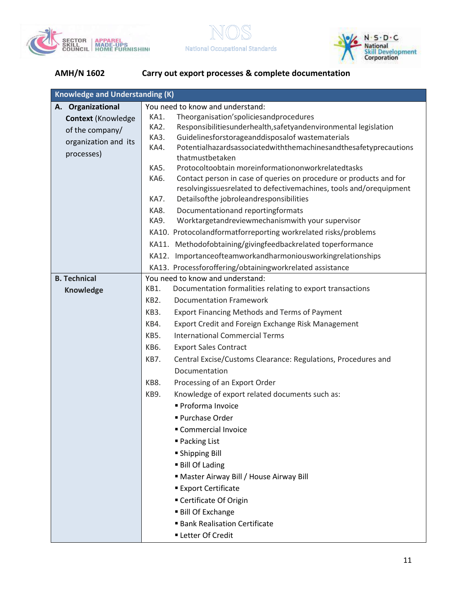





| <b>Knowledge and Understanding (K)</b>                                                                                |  |  |
|-----------------------------------------------------------------------------------------------------------------------|--|--|
| You need to know and understand:<br>A. Organizational                                                                 |  |  |
| Theorganisation'spoliciesandprocedures<br>KA1.<br><b>Context (Knowledge)</b>                                          |  |  |
| KA2.<br>Responsibilitiesunderhealth, safetyandenvironmental legislation<br>of the company/                            |  |  |
| Guidelinesforstorageanddisposalof wastematerials<br>KA3.<br>organization and its                                      |  |  |
| Potentialhazardsassociatedwiththemachinesandthesafetyprecautions<br>KA4.<br>processes)                                |  |  |
| thatmustbetaken                                                                                                       |  |  |
| Protocoltoobtain moreinformationonworkrelatedtasks<br>KA5.                                                            |  |  |
| Contact person in case of queries on procedure or products and for<br>KA6.                                            |  |  |
| resolvingissuesrelated to defectivemachines, tools and/orequipment<br>Detailsofthe jobroleandresponsibilities<br>KA7. |  |  |
| KA8.<br>Documentationand reportingformats                                                                             |  |  |
| Worktargetandreviewmechanismwith your supervisor<br>KA9.                                                              |  |  |
| KA10. Protocolandformatforreporting workrelated risks/problems                                                        |  |  |
| KA11. Methodofobtaining/givingfeedbackrelated toperformance                                                           |  |  |
|                                                                                                                       |  |  |
| KA12. Importanceofteamworkandharmoniousworkingrelationships                                                           |  |  |
| KA13. Processforoffering/obtainingworkrelated assistance<br><b>B. Technical</b><br>You need to know and understand:   |  |  |
| KB1.<br>Documentation formalities relating to export transactions                                                     |  |  |
| <b>Knowledge</b><br>KB <sub>2</sub> .<br><b>Documentation Framework</b>                                               |  |  |
| KB3.                                                                                                                  |  |  |
| <b>Export Financing Methods and Terms of Payment</b>                                                                  |  |  |
| Export Credit and Foreign Exchange Risk Management<br>KB4.                                                            |  |  |
| <b>International Commercial Terms</b><br><b>KB5.</b>                                                                  |  |  |
| KB6.<br><b>Export Sales Contract</b>                                                                                  |  |  |
| Central Excise/Customs Clearance: Regulations, Procedures and<br>KB7.                                                 |  |  |
| Documentation                                                                                                         |  |  |
| KB8.<br>Processing of an Export Order                                                                                 |  |  |
| Knowledge of export related documents such as:<br>KB9.                                                                |  |  |
| Proforma Invoice                                                                                                      |  |  |
| Purchase Order                                                                                                        |  |  |
| Commercial Invoice                                                                                                    |  |  |
| ■ Packing List                                                                                                        |  |  |
| ■ Shipping Bill                                                                                                       |  |  |
| <b>Bill Of Lading</b>                                                                                                 |  |  |
| Master Airway Bill / House Airway Bill                                                                                |  |  |
| <b>Export Certificate</b>                                                                                             |  |  |
| ■ Certificate Of Origin                                                                                               |  |  |
| <b>Bill Of Exchange</b>                                                                                               |  |  |
| <b>Bank Realisation Certificate</b>                                                                                   |  |  |
| <b>- Letter Of Credit</b>                                                                                             |  |  |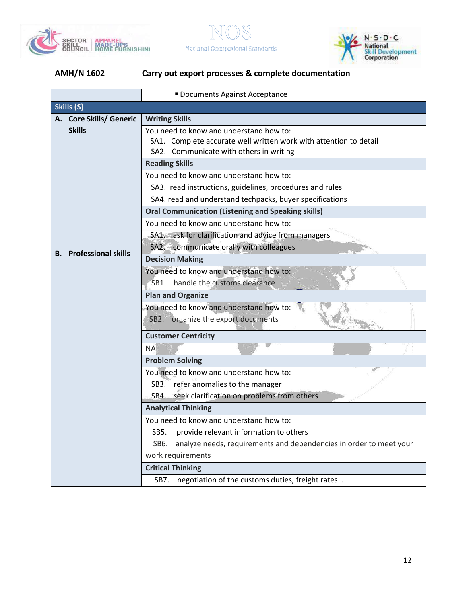





|    |                            | <b>Documents Against Acceptance</b>                                                                                                                     |  |
|----|----------------------------|---------------------------------------------------------------------------------------------------------------------------------------------------------|--|
|    | Skills (S)                 |                                                                                                                                                         |  |
|    | A. Core Skills/ Generic    | <b>Writing Skills</b>                                                                                                                                   |  |
|    | <b>Skills</b>              | You need to know and understand how to:<br>SA1. Complete accurate well written work with attention to detail<br>SA2. Communicate with others in writing |  |
|    |                            | <b>Reading Skills</b>                                                                                                                                   |  |
|    |                            | You need to know and understand how to:                                                                                                                 |  |
|    |                            | SA3. read instructions, guidelines, procedures and rules                                                                                                |  |
|    |                            | SA4. read and understand techpacks, buyer specifications                                                                                                |  |
|    |                            | <b>Oral Communication (Listening and Speaking skills)</b>                                                                                               |  |
|    |                            | You need to know and understand how to:                                                                                                                 |  |
|    |                            | SA1. ask for clarification and advice from managers                                                                                                     |  |
| В. | <b>Professional skills</b> | SA2. communicate orally with colleagues                                                                                                                 |  |
|    |                            | <b>Decision Making</b>                                                                                                                                  |  |
|    |                            | You need to know and understand how to:                                                                                                                 |  |
|    |                            | SB1. handle the customs clearance                                                                                                                       |  |
|    |                            | <b>Plan and Organize</b>                                                                                                                                |  |
|    |                            | You need to know and understand how to:<br>SB2. organize the export documents                                                                           |  |
|    |                            | <b>Customer Centricity</b>                                                                                                                              |  |
|    |                            | <b>NA</b>                                                                                                                                               |  |
|    |                            | <b>Problem Solving</b>                                                                                                                                  |  |
|    |                            | You need to know and understand how to:                                                                                                                 |  |
|    |                            | SB3. refer anomalies to the manager                                                                                                                     |  |
|    |                            | SB4. seek clarification on problems from others                                                                                                         |  |
|    |                            | <b>Analytical Thinking</b>                                                                                                                              |  |
|    |                            | You need to know and understand how to:                                                                                                                 |  |
|    |                            | SB5.<br>provide relevant information to others                                                                                                          |  |
|    |                            | analyze needs, requirements and dependencies in order to meet your<br>SB6.                                                                              |  |
|    |                            | work requirements                                                                                                                                       |  |
|    |                            | <b>Critical Thinking</b>                                                                                                                                |  |
|    |                            | negotiation of the customs duties, freight rates.<br>SB7.                                                                                               |  |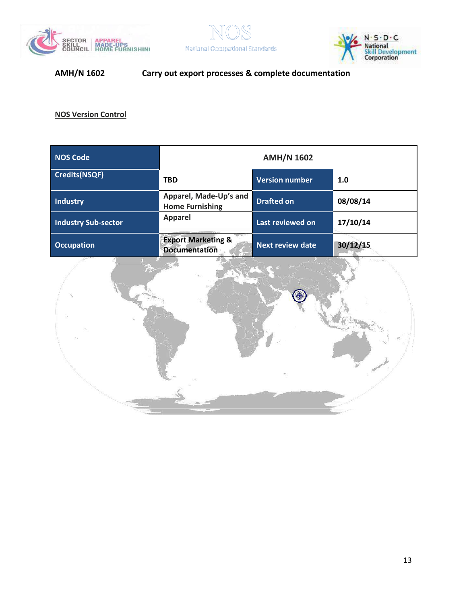





**NOS Version Control**

| <b>NOS Code</b>            | <b>AMH/N 1602</b>                                     |                         |          |
|----------------------------|-------------------------------------------------------|-------------------------|----------|
| <b>Credits(NSQF)</b>       | <b>TBD</b>                                            | <b>Version number</b>   | 1.0      |
| <b>Industry</b>            | Apparel, Made-Up's and<br><b>Home Furnishing</b>      | <b>Drafted on</b>       | 08/08/14 |
| <b>Industry Sub-sector</b> | <b>Apparel</b>                                        | Last reviewed on        | 17/10/14 |
| <b>Occupation</b>          | <b>Export Marketing &amp;</b><br><b>Documentation</b> | <b>Next review date</b> | 30/12/15 |

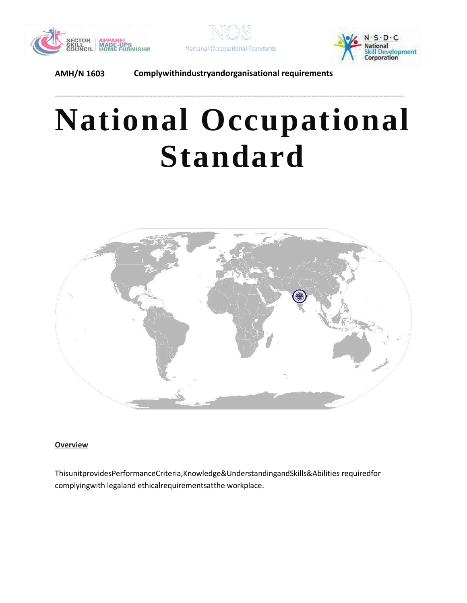





# **National Occupational Standard**

----------------------------------------------------------------------------------------------------------------------------------------



#### <span id="page-13-0"></span>**Overview**

ThisunitprovidesPerformanceCriteria,Knowledge&UnderstandingandSkills&Abilities requiredfor complyingwith legaland ethicalrequirementsatthe workplace.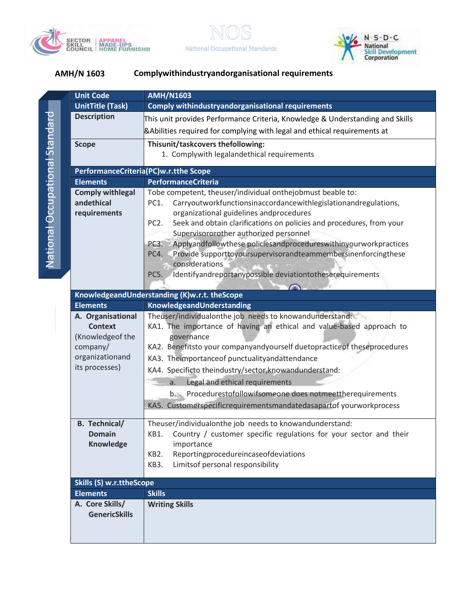



**National Occupational Standards** 

| <b>Unit Code</b>                      | <b>AMH/N1603</b>                                                                          |  |
|---------------------------------------|-------------------------------------------------------------------------------------------|--|
| <b>UnitTitle (Task)</b>               | <b>Comply withindustryandorganisational requirements</b>                                  |  |
| <b>Description</b>                    | This unit provides Performance Criteria, Knowledge & Understanding and Skills             |  |
|                                       | <b>&amp;Abilities required for complying with legal and ethical requirements at</b>       |  |
| <b>Scope</b>                          | Thisunit/taskcovers thefollowing:                                                         |  |
|                                       | 1. Complywith legalandethical requirements                                                |  |
| PerformanceCriteria(PC)w.r.tthe Scope |                                                                                           |  |
| <b>Elements</b>                       | <b>PerformanceCriteria</b>                                                                |  |
| <b>Comply withlegal</b>               | Tobe competent, theuser/individual onthejobmust beable to:                                |  |
| andethical                            | Carryoutworkfunctionsinaccordancewithlegislationandregulations,<br>PC1.                   |  |
| requirements                          | organizational guidelines andprocedures                                                   |  |
|                                       | Seek and obtain clarifications on policies and procedures, from your<br>PC <sub>2</sub> . |  |
|                                       | Supervisororother authorized personnel                                                    |  |
|                                       | Applyandfollowthese policiesandprocedureswithinyourworkpractices<br>PC3.                  |  |
|                                       | Provide supporttoyoursupervisorandteammembersinenforcingthese<br>PC4.                     |  |
|                                       | considerations                                                                            |  |
|                                       | Identifyandreportanypossible deviationtotheserequirements<br>PC5.                         |  |
|                                       | KnowledgeandUnderstanding (K)w.r.t. theScope                                              |  |
| <b>Elements</b>                       | KnowledgeandUnderstanding                                                                 |  |
| A. Organisational                     | Theuser/individualonthe job needs to knowandunderstand:                                   |  |
| <b>Context</b>                        | KA1. The importance of having an ethical and value-based approach to                      |  |
| (Knowledgeof the                      | governance                                                                                |  |
| company/                              | KA2. Benefitsto your companyandyourself duetopractice of theseprocedures                  |  |
| organizationand                       | KA3. Theimportanceof punctualityandattendance                                             |  |
| its processes)                        | KA4. Specificto theindustry/sector, know and understand:                                  |  |
|                                       | Legal and ethical requirements<br>a.                                                      |  |
|                                       | b. Procedurestofollowifsomeone does notmeettherequirements                                |  |
|                                       | KA5. Customerspecificrequirementsmandatedasapartof yourworkprocess                        |  |
| <b>B.</b> Technical/                  | Theuser/individualonthe job needs to knowandunderstand:                                   |  |
| <b>Domain</b>                         | KB1. Country / customer specific regulations for your sector and their                    |  |
| Knowledge                             | importance                                                                                |  |
|                                       | Reportingprocedureincaseofdeviations<br>KB <sub>2</sub> .                                 |  |
|                                       | Limitsof personal responsibility<br>KB3.                                                  |  |
| <b>Skills (S) w.r.ttheScope</b>       |                                                                                           |  |
| <b>Elements</b>                       | <b>Skills</b>                                                                             |  |
| A. Core Skills/                       | <b>Writing Skills</b>                                                                     |  |
| <b>GenericSkills</b>                  |                                                                                           |  |
|                                       |                                                                                           |  |
|                                       |                                                                                           |  |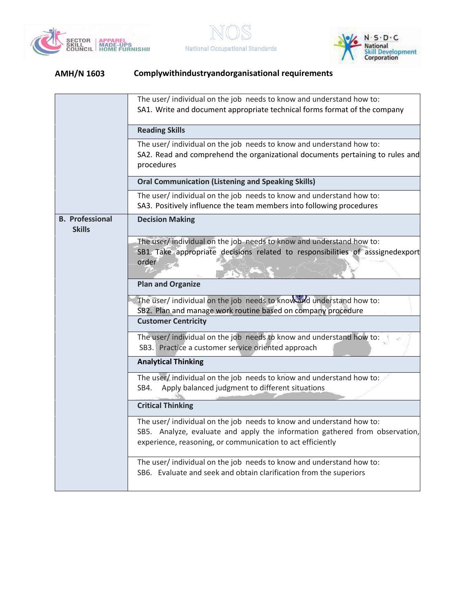





|                                         | The user/individual on the job needs to know and understand how to:<br>SA1. Write and document appropriate technical forms format of the company                                                                 |
|-----------------------------------------|------------------------------------------------------------------------------------------------------------------------------------------------------------------------------------------------------------------|
|                                         | <b>Reading Skills</b>                                                                                                                                                                                            |
|                                         | The user/individual on the job needs to know and understand how to:<br>SA2. Read and comprehend the organizational documents pertaining to rules and<br>procedures                                               |
|                                         | <b>Oral Communication (Listening and Speaking Skills)</b>                                                                                                                                                        |
|                                         | The user/individual on the job needs to know and understand how to:<br>SA3. Positively influence the team members into following procedures                                                                      |
| <b>B. Professional</b><br><b>Skills</b> | <b>Decision Making</b>                                                                                                                                                                                           |
|                                         | The user/individual on the job needs to know and understand how to:<br>SB1. Take appropriate decisions related to responsibilities of asssignedexport<br>order                                                   |
|                                         | <b>Plan and Organize</b>                                                                                                                                                                                         |
|                                         | The user/ individual on the job needs to know and understand how to:<br>SB2. Plan and manage work routine based on company procedure                                                                             |
|                                         | <b>Customer Centricity</b>                                                                                                                                                                                       |
|                                         | The user/ individual on the job needs to know and understand how to:<br>SB3. Practice a customer service oriented approach                                                                                       |
|                                         | <b>Analytical Thinking</b>                                                                                                                                                                                       |
|                                         | The user/individual on the job needs to know and understand how to:<br>Apply balanced judgment to different situations<br>SB4.                                                                                   |
|                                         | <b>Critical Thinking</b>                                                                                                                                                                                         |
|                                         | The user/individual on the job needs to know and understand how to:<br>SB5. Analyze, evaluate and apply the information gathered from observation,<br>experience, reasoning, or communication to act efficiently |
|                                         | The user/ individual on the job needs to know and understand how to:<br>SB6. Evaluate and seek and obtain clarification from the superiors                                                                       |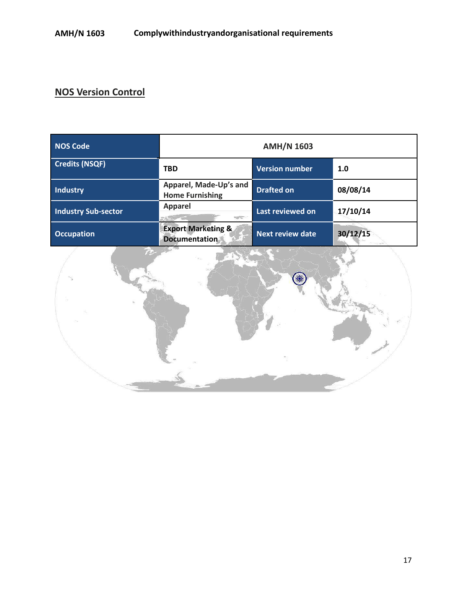# **NOS Version Control**

| <b>NOS Code</b>            | <b>AMH/N 1603</b>                                     |                         |          |
|----------------------------|-------------------------------------------------------|-------------------------|----------|
| <b>Credits (NSQF)</b>      | <b>TBD</b>                                            | <b>Version number</b>   | 1.0      |
| <b>Industry</b>            | Apparel, Made-Up's and<br><b>Home Furnishing</b>      | <b>Drafted on</b>       | 08/08/14 |
| <b>Industry Sub-sector</b> | <b>Apparel</b><br><b>SOFTWARE</b>                     | Last reviewed on        | 17/10/14 |
| <b>Occupation</b>          | <b>Export Marketing &amp;</b><br><b>Documentation</b> | <b>Next review date</b> | 30/12/15 |

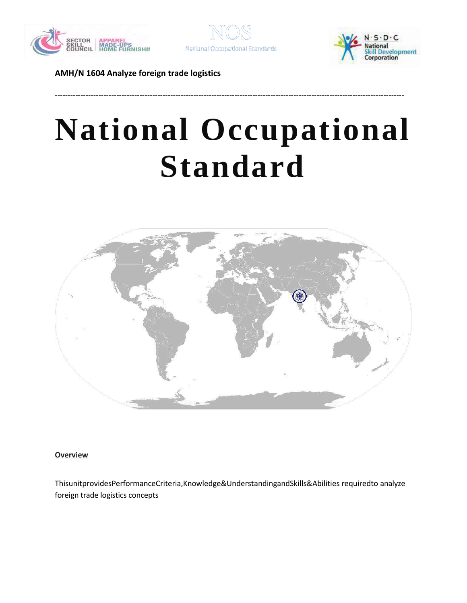





# **National Occupational Standard**

----------------------------------------------------------------------------------------------------------------------------------------



<span id="page-17-0"></span>**Overview** 

ThisunitprovidesPerformanceCriteria,Knowledge&UnderstandingandSkills&Abilities requiredto analyze foreign trade logistics concepts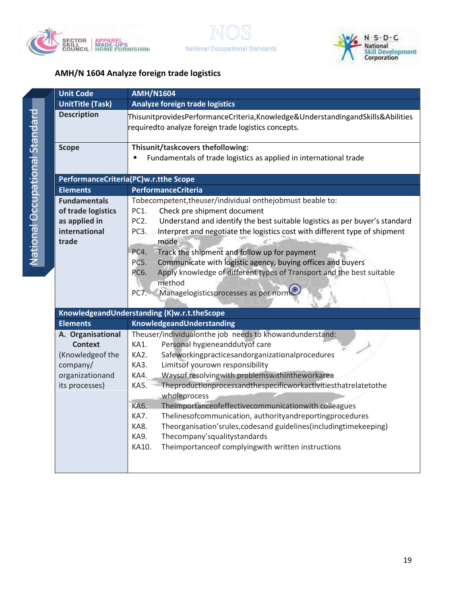



| <b>Unit Code</b>                                                                                         | <b>AMH/N1604</b>                                                                                                                                                                                                                                                                                                                                                                                                                                                                                                                                                                                                                                                                          |
|----------------------------------------------------------------------------------------------------------|-------------------------------------------------------------------------------------------------------------------------------------------------------------------------------------------------------------------------------------------------------------------------------------------------------------------------------------------------------------------------------------------------------------------------------------------------------------------------------------------------------------------------------------------------------------------------------------------------------------------------------------------------------------------------------------------|
| <b>UnitTitle (Task)</b>                                                                                  | <b>Analyze foreign trade logistics</b>                                                                                                                                                                                                                                                                                                                                                                                                                                                                                                                                                                                                                                                    |
| <b>Description</b>                                                                                       | ThisunitprovidesPerformanceCriteria,Knowledge&UnderstandingandSkills&Abilities<br>requiredto analyze foreign trade logistics concepts.                                                                                                                                                                                                                                                                                                                                                                                                                                                                                                                                                    |
| <b>Scope</b>                                                                                             | Thisunit/taskcovers thefollowing:<br>Fundamentals of trade logistics as applied in international trade                                                                                                                                                                                                                                                                                                                                                                                                                                                                                                                                                                                    |
|                                                                                                          | PerformanceCriteria(PC)w.r.tthe Scope                                                                                                                                                                                                                                                                                                                                                                                                                                                                                                                                                                                                                                                     |
| <b>Elements</b>                                                                                          | <b>PerformanceCriteria</b>                                                                                                                                                                                                                                                                                                                                                                                                                                                                                                                                                                                                                                                                |
| <b>Fundamentals</b><br>of trade logistics<br>as applied in<br>international<br>trade                     | Tobecompetent, theuser/individual onthejobmust beable to:<br>Check pre shipment document<br>PC1.<br>PC <sub>2</sub> .<br>Understand and identify the best suitable logistics as per buyer's standard<br>PC3.<br>Interpret and negotiate the logistics cost with different type of shipment<br>mode<br>PC4.<br>Track the shipment and follow up for payment<br>PC5.<br>Communicate with logistic agency, buying offices and buyers<br>PC6.<br>Apply knowledge of different types of Transport and the best suitable<br>method<br>Managelogisticsprocesses as per norms<br>PC7.                                                                                                             |
|                                                                                                          | KnowledgeandUnderstanding (K)w.r.t.theScope                                                                                                                                                                                                                                                                                                                                                                                                                                                                                                                                                                                                                                               |
| <b>Elements</b>                                                                                          | KnowledgeandUnderstanding                                                                                                                                                                                                                                                                                                                                                                                                                                                                                                                                                                                                                                                                 |
| A. Organisational<br><b>Context</b><br>(Knowledgeof the<br>company/<br>organizationand<br>its processes) | Theuser/individualonthe job needs to knowandunderstand:<br>Personal hygieneanddutyof care<br>KA1.<br>KA2.<br>Safeworkingpracticesandorganizationalprocedures<br>KA3.<br>Limitsof yourown responsibility<br>Waysof resolvingwith problemswithintheworkarea<br>KA4.<br>Theproductionprocessandthespecificworkactivitiesthatrelatetothe<br>KA5.<br>wholeprocess<br>KA6.<br>Theimportanceofeffectivecommunicationwith colleagues<br>KA7.<br>Thelinesofcommunication, authorityandreportingprocedures<br>Theorganisation'srules, codesand guidelines (including time keeping)<br>KA8.<br>KA9.<br>Thecompany'squalitystandards<br>KA10.<br>Theimportance of complying with written instructions |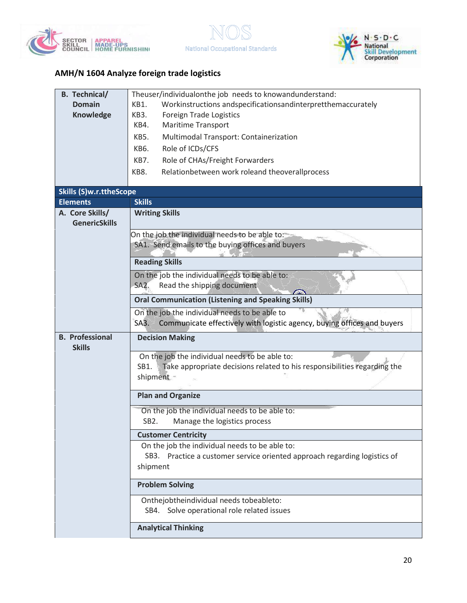





| <b>B.</b> Technical/    | Theuser/individualonthe job needs to knowandunderstand:                          |  |  |
|-------------------------|----------------------------------------------------------------------------------|--|--|
| <b>Domain</b>           | Workinstructions andspecificationsandinterpretthemaccurately<br>KB1.             |  |  |
| Knowledge               | Foreign Trade Logistics<br>KB3.                                                  |  |  |
|                         | Maritime Transport<br>KB4.                                                       |  |  |
|                         | KB5.<br>Multimodal Transport: Containerization                                   |  |  |
|                         | Role of ICDs/CFS<br>KB6.                                                         |  |  |
|                         | Role of CHAs/Freight Forwarders<br>KB7.                                          |  |  |
|                         | Relationbetween work roleand theoverallprocess<br>KB8.                           |  |  |
|                         |                                                                                  |  |  |
| Skills (S)w.r.ttheScope |                                                                                  |  |  |
| <b>Elements</b>         | <b>Skills</b>                                                                    |  |  |
| A. Core Skills/         | <b>Writing Skills</b>                                                            |  |  |
| <b>GenericSkills</b>    |                                                                                  |  |  |
|                         | On the job the individual needs to be able to:                                   |  |  |
|                         | SA1. Send emails to the buying offices and buyers                                |  |  |
|                         | <b>Reading Skills</b>                                                            |  |  |
|                         | On the job the individual needs to be able to:                                   |  |  |
|                         | Read the shipping document<br>SA <sub>2</sub> .                                  |  |  |
|                         | <b>Oral Communication (Listening and Speaking Skills)</b>                        |  |  |
|                         |                                                                                  |  |  |
|                         | On the job the individual needs to be able to                                    |  |  |
|                         | SA3. Communicate effectively with logistic agency, buying offices and buyers     |  |  |
| <b>B.</b> Professional  | <b>Decision Making</b>                                                           |  |  |
| <b>Skills</b>           | On the job the individual needs to be able to:                                   |  |  |
|                         | Take appropriate decisions related to his responsibilities regarding the<br>SB1. |  |  |
|                         | shipment.                                                                        |  |  |
|                         |                                                                                  |  |  |
|                         | <b>Plan and Organize</b>                                                         |  |  |
|                         | On the job the individual needs to be able to:                                   |  |  |
|                         | SB <sub>2</sub> .<br>Manage the logistics process                                |  |  |
|                         | <b>Customer Centricity</b>                                                       |  |  |
|                         | On the job the individual needs to be able to:                                   |  |  |
|                         | SB3. Practice a customer service oriented approach regarding logistics of        |  |  |
|                         | shipment                                                                         |  |  |
|                         |                                                                                  |  |  |
|                         | <b>Problem Solving</b>                                                           |  |  |
|                         | Onthejobtheindividual needs tobeableto:                                          |  |  |
|                         | SB4. Solve operational role related issues                                       |  |  |
|                         | <b>Analytical Thinking</b>                                                       |  |  |
|                         |                                                                                  |  |  |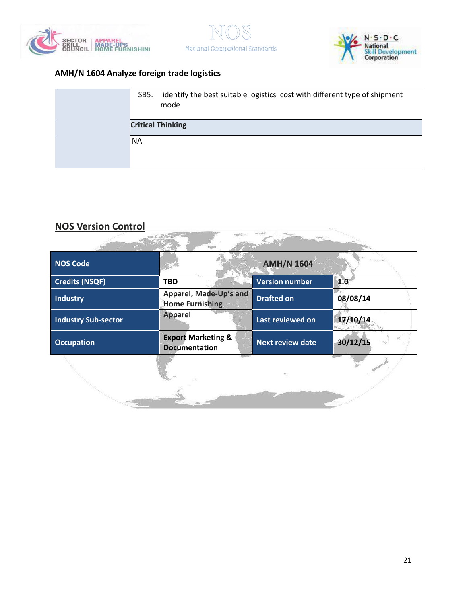





**CARLO AND** 

 $\sum_{i=1}^N$ 

| SB5.                     | identify the best suitable logistics cost with different type of shipment<br>mode |
|--------------------------|-----------------------------------------------------------------------------------|
| <b>Critical Thinking</b> |                                                                                   |
| <b>NA</b>                |                                                                                   |
|                          |                                                                                   |

**Support** 

# **NOS Version Control**

| <b>NOS Code</b>            |                                                       | <b>AMH/N 1604</b>       |          |
|----------------------------|-------------------------------------------------------|-------------------------|----------|
| <b>Credits (NSQF)</b>      | <b>TBD</b>                                            | <b>Version number</b>   | 1.0      |
| Industry                   | Apparel, Made-Up's and<br><b>Home Furnishing</b>      | <b>Drafted on</b>       | 08/08/14 |
| <b>Industry Sub-sector</b> | <b>Apparel</b>                                        | Last reviewed on        | 17/10/14 |
| <b>Occupation</b>          | <b>Export Marketing &amp;</b><br><b>Documentation</b> | <b>Next review date</b> | 30/12/15 |
|                            |                                                       |                         |          |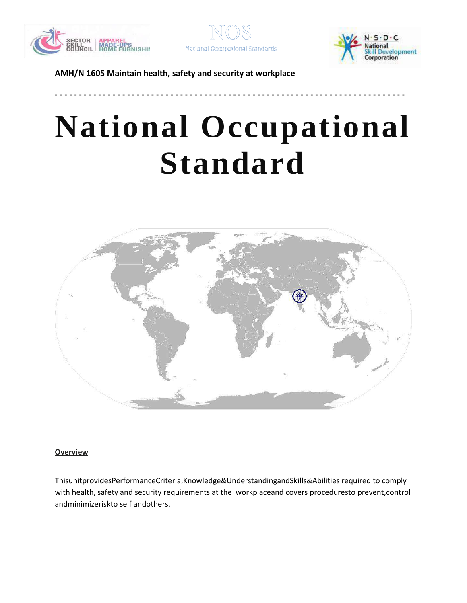





# **National Occupational Standard**

**- - - - - - - - - - - - - - - - - - - - - - - - - - - - - - - - - - - - - - - - - - - - - - - - - - - - - - - - - - - - - - - - - - - - - - - - -**



#### <span id="page-21-0"></span>**Overview**

ThisunitprovidesPerformanceCriteria,Knowledge&UnderstandingandSkills&Abilities required to comply with health, safety and security requirements at the workplaceand covers proceduresto prevent,control andminimizeriskto self andothers.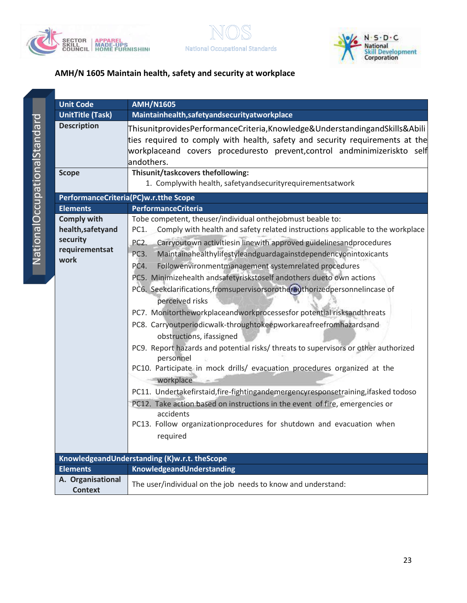



|                      | U                       |
|----------------------|-------------------------|
|                      |                         |
| JOINS                |                         |
|                      |                         |
|                      |                         |
|                      | $\overline{\mathsf{S}}$ |
|                      |                         |
|                      |                         |
|                      | P                       |
|                      |                         |
|                      | El<br>Cd<br>he          |
| <u>Ilegino di et</u> |                         |
|                      | se                      |
|                      | re<br>w                 |
|                      |                         |
|                      |                         |

| <b>Unit Code</b>                                                              | <b>AMH/N1605</b>                                                                                                                                                                                                                                                                                                                                                                                                                                                                                                                                                                                                                                                                                                                                                                                                                                                                                                                                                                                                                                                                                                                                                                                                  |
|-------------------------------------------------------------------------------|-------------------------------------------------------------------------------------------------------------------------------------------------------------------------------------------------------------------------------------------------------------------------------------------------------------------------------------------------------------------------------------------------------------------------------------------------------------------------------------------------------------------------------------------------------------------------------------------------------------------------------------------------------------------------------------------------------------------------------------------------------------------------------------------------------------------------------------------------------------------------------------------------------------------------------------------------------------------------------------------------------------------------------------------------------------------------------------------------------------------------------------------------------------------------------------------------------------------|
| <b>UnitTitle (Task)</b>                                                       | Maintainhealth, safety and security at workplace                                                                                                                                                                                                                                                                                                                                                                                                                                                                                                                                                                                                                                                                                                                                                                                                                                                                                                                                                                                                                                                                                                                                                                  |
| <b>Description</b>                                                            | Thisunit provides Performance Criteria, Knowledge & Understanding and Skills & Abili<br>ties required to comply with health, safety and security requirements at the<br>workplaceand covers proceduresto prevent,control andminimizeriskto self<br>andothers.                                                                                                                                                                                                                                                                                                                                                                                                                                                                                                                                                                                                                                                                                                                                                                                                                                                                                                                                                     |
| <b>Scope</b>                                                                  | Thisunit/taskcovers thefollowing:<br>1. Complywith health, safetyandsecurityrequirementsatwork                                                                                                                                                                                                                                                                                                                                                                                                                                                                                                                                                                                                                                                                                                                                                                                                                                                                                                                                                                                                                                                                                                                    |
| PerformanceCriteria(PC)w.r.tthe Scope                                         |                                                                                                                                                                                                                                                                                                                                                                                                                                                                                                                                                                                                                                                                                                                                                                                                                                                                                                                                                                                                                                                                                                                                                                                                                   |
| <b>Elements</b>                                                               | <b>PerformanceCriteria</b>                                                                                                                                                                                                                                                                                                                                                                                                                                                                                                                                                                                                                                                                                                                                                                                                                                                                                                                                                                                                                                                                                                                                                                                        |
| <b>Comply with</b><br>health, safetyand<br>security<br>requirementsat<br>work | Tobe competent, theuser/individual onthejobmust beable to:<br>Comply with health and safety related instructions applicable to the workplace<br>PC1.<br>PC <sub>2</sub> .<br>Carryoutown activitiesin linewith approved guidelinesandprocedures<br>Maintainahealthylifestyleandguardagainstdependencyonintoxicants<br>PC3.<br>PC4.<br>Followenvironmentmanagement systemrelated procedures<br>PC5. Minimizehealth andsafetyriskstoself andothers dueto own actions<br>PC6. Seekclarifications, fromsupervisorsorotherauthorizedpersonnelincase of<br>perceived risks<br>PC7. Monitortheworkplaceandworkprocessesfor potential risksandthreats<br>PC8. Carryoutperiodicwalk-throughtokeepworkareafreefromhazardsand<br>obstructions, ifassigned<br>PC9. Report hazards and potential risks/threats to supervisors or other authorized<br>personnel<br>PC10. Participate in mock drills/ evacuation procedures organized at the<br>workplace<br>PC11. Undertakefirstaid, fire-fightingandemergencyresponsetraining, ifasked todoso<br>PC12. Take action based on instructions in the event of fire, emergencies or<br>accidents<br>PC13. Follow organizationprocedures for shutdown and evacuation when<br>required |
|                                                                               | KnowledgeandUnderstanding (K)w.r.t. theScope                                                                                                                                                                                                                                                                                                                                                                                                                                                                                                                                                                                                                                                                                                                                                                                                                                                                                                                                                                                                                                                                                                                                                                      |
| <b>Elements</b>                                                               | KnowledgeandUnderstanding                                                                                                                                                                                                                                                                                                                                                                                                                                                                                                                                                                                                                                                                                                                                                                                                                                                                                                                                                                                                                                                                                                                                                                                         |
| A. Organisational<br><b>Context</b>                                           | The user/individual on the job needs to know and understand:                                                                                                                                                                                                                                                                                                                                                                                                                                                                                                                                                                                                                                                                                                                                                                                                                                                                                                                                                                                                                                                                                                                                                      |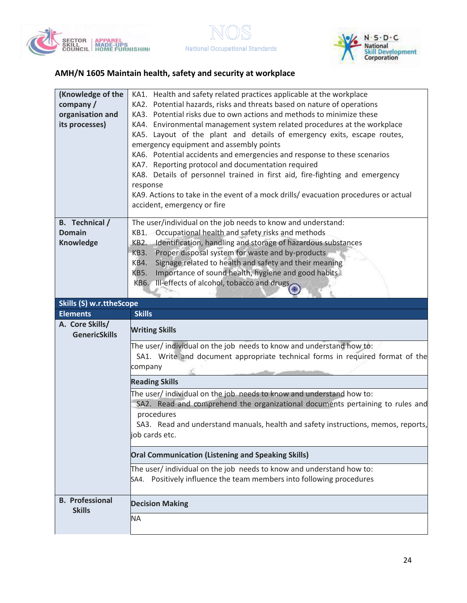



| (Knowledge of the<br>company/<br>organisation and<br>its processes) | KA1. Health and safety related practices applicable at the workplace<br>KA2. Potential hazards, risks and threats based on nature of operations<br>KA3. Potential risks due to own actions and methods to minimize these<br>KA4. Environmental management system related procedures at the workplace<br>KA5. Layout of the plant and details of emergency exits, escape routes,<br>emergency equipment and assembly points<br>KA6. Potential accidents and emergencies and response to these scenarios<br>KA7. Reporting protocol and documentation required<br>KA8. Details of personnel trained in first aid, fire-fighting and emergency<br>response<br>KA9. Actions to take in the event of a mock drills/ evacuation procedures or actual |
|---------------------------------------------------------------------|------------------------------------------------------------------------------------------------------------------------------------------------------------------------------------------------------------------------------------------------------------------------------------------------------------------------------------------------------------------------------------------------------------------------------------------------------------------------------------------------------------------------------------------------------------------------------------------------------------------------------------------------------------------------------------------------------------------------------------------------|
| B. Technical /<br><b>Domain</b><br>Knowledge                        | accident, emergency or fire<br>The user/individual on the job needs to know and understand:<br>KB1. Occupational health and safety risks and methods<br>Identification, handling and storage of hazardous substances<br><b>KB2.</b><br>Proper disposal system for waste and by-products<br><b>KB3.</b><br>Signage related to health and safety and their meaning<br>KB4.<br>Importance of sound health, hygiene and good habits<br>KB5.<br>KB6. Ill-effects of alcohol, tobacco and drugs                                                                                                                                                                                                                                                      |
| <b>Skills (S) w.r.ttheScope</b>                                     |                                                                                                                                                                                                                                                                                                                                                                                                                                                                                                                                                                                                                                                                                                                                                |
| <b>Elements</b>                                                     | <b>Skills</b>                                                                                                                                                                                                                                                                                                                                                                                                                                                                                                                                                                                                                                                                                                                                  |
|                                                                     |                                                                                                                                                                                                                                                                                                                                                                                                                                                                                                                                                                                                                                                                                                                                                |
| A. Core Skills/                                                     | <b>Writing Skills</b>                                                                                                                                                                                                                                                                                                                                                                                                                                                                                                                                                                                                                                                                                                                          |
| <b>GenericSkills</b>                                                | The user/ individual on the job needs to know and understand how to:<br>SA1. Write and document appropriate technical forms in required format of the<br>company<br><b>Reading Skills</b><br>The user/individual on the job needs to know and understand how to:<br>SA2. Read and comprehend the organizational documents pertaining to rules and<br>procedures<br>SA3. Read and understand manuals, health and safety instructions, memos, reports,<br>job cards etc.                                                                                                                                                                                                                                                                         |
|                                                                     |                                                                                                                                                                                                                                                                                                                                                                                                                                                                                                                                                                                                                                                                                                                                                |
|                                                                     | <b>Oral Communication (Listening and Speaking Skills)</b><br>The user/ individual on the job needs to know and understand how to:<br>SA4. Positively influence the team members into following procedures                                                                                                                                                                                                                                                                                                                                                                                                                                                                                                                                      |
| <b>B.</b> Professional<br><b>Skills</b>                             | <b>Decision Making</b>                                                                                                                                                                                                                                                                                                                                                                                                                                                                                                                                                                                                                                                                                                                         |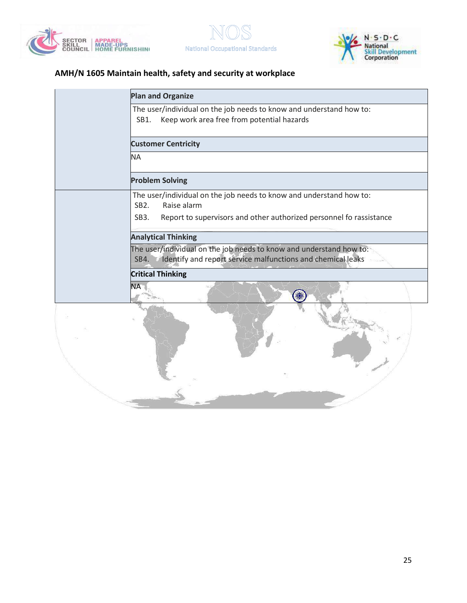





| <b>Plan and Organize</b>                                                                                                                   |
|--------------------------------------------------------------------------------------------------------------------------------------------|
| The user/individual on the job needs to know and understand how to:<br>SB1.<br>Keep work area free from potential hazards                  |
| <b>Customer Centricity</b>                                                                                                                 |
| <b>NA</b>                                                                                                                                  |
| <b>Problem Solving</b>                                                                                                                     |
| The user/individual on the job needs to know and understand how to:<br>Raise alarm<br>SB <sub>2</sub> .                                    |
| Report to supervisors and other authorized personnel fo rassistance<br>SB <sub>3</sub> .                                                   |
| <b>Analytical Thinking</b>                                                                                                                 |
| The user/individual on the job needs to know and understand how to:<br>Identify and report service malfunctions and chemical leaks<br>SB4. |
| <b>Critical Thinking</b>                                                                                                                   |
| <b>NA</b>                                                                                                                                  |
|                                                                                                                                            |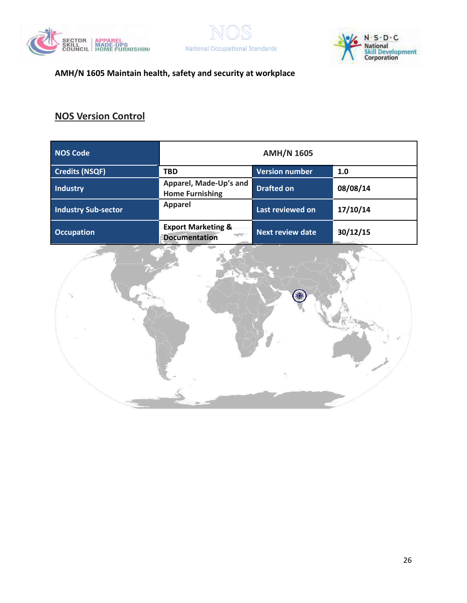





# **NOS Version Control**

| <b>NOS Code</b>            | <b>AMH/N 1605</b>                                                        |                         |              |  |  |
|----------------------------|--------------------------------------------------------------------------|-------------------------|--------------|--|--|
| <b>Credits (NSQF)</b>      | <b>TBD</b>                                                               | <b>Version number</b>   | 1.0          |  |  |
| <b>Industry</b>            | Apparel, Made-Up's and<br><b>Home Furnishing</b>                         | <b>Drafted on</b>       | 08/08/14     |  |  |
| <b>Industry Sub-sector</b> | <b>Apparel</b>                                                           | Last reviewed on        | 17/10/14     |  |  |
| <b>Occupation</b>          | <b>Export Marketing &amp;</b><br><b>RESERVES</b><br><b>Documentation</b> | <b>Next review date</b> | 30/12/15     |  |  |
|                            |                                                                          |                         | <b>TANKS</b> |  |  |

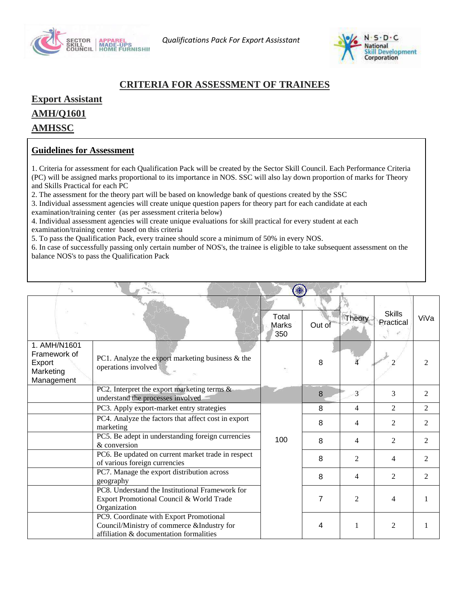



### **CRITERIA FOR ASSESSMENT OF TRAINEES**

**Export Assistant AMH/Q1601 AMHSSC**

#### **Guidelines for Assessment**

1. Criteria for assessment for each Qualification Pack will be created by the Sector Skill Council. Each Performance Criteria (PC) will be assigned marks proportional to its importance in NOS. SSC will also lay down proportion of marks for Theory and Skills Practical for each PC

2. The assessment for the theory part will be based on knowledge bank of questions created by the SSC

3. Individual assessment agencies will create unique question papers for theory part for each candidate at each

examination/training center (as per assessment criteria below)

4. Individual assessment agencies will create unique evaluations for skill practical for every student at each examination/training center based on this criteria

5. To pass the Qualification Pack, every trainee should score a minimum of 50% in every NOS.

6. In case of successfully passing only certain number of NOS's, the trainee is eligible to take subsequent assessment on the balance NOS's to pass the Qualification Pack

|                                                                   |                                                                                                                                  | Total<br>Marks<br>350 | Out of | <b>Theory</b>  | <b>Skills</b><br>Practical | ViVa                        |
|-------------------------------------------------------------------|----------------------------------------------------------------------------------------------------------------------------------|-----------------------|--------|----------------|----------------------------|-----------------------------|
| 1. AMH/N1601<br>Framework of<br>Export<br>Marketing<br>Management | PC1. Analyze the export marketing business & the<br>operations involved                                                          |                       | 8      |                |                            |                             |
|                                                                   | PC2. Interpret the export marketing terms $\&$<br>understand the processes involved                                              |                       | 8      |                | 3                          | $\overline{2}$              |
|                                                                   | PC3. Apply export-market entry strategies                                                                                        |                       | 8      | 4              | $\mathfrak{D}$             | $\mathfrak{D}$              |
|                                                                   | PC4. Analyze the factors that affect cost in export<br>marketing                                                                 |                       | 8      | 4              | 2                          | $\overline{2}$              |
|                                                                   | PC5. Be adept in understanding foreign currencies<br>& conversion                                                                | 100                   | 8      | 4              | $\overline{2}$             | $\mathfrak{D}$              |
|                                                                   | PC6. Be updated on current market trade in respect<br>of various foreign currencies                                              |                       | 8      | 2              | 4                          | $\mathcal{D}_{\mathcal{L}}$ |
|                                                                   | PC7. Manage the export distribution across<br>geography                                                                          |                       | 8      | 4              | 2                          | $\mathfrak{D}$              |
|                                                                   | PC8. Understand the Institutional Framework for<br>Export Promotional Council & World Trade<br>Organization                      |                       | 7      | $\mathfrak{D}$ | 4                          |                             |
|                                                                   | PC9. Coordinate with Export Promotional<br>Council/Ministry of commerce &Industry for<br>affiliation & documentation formalities |                       | 4      | 1              | 2                          |                             |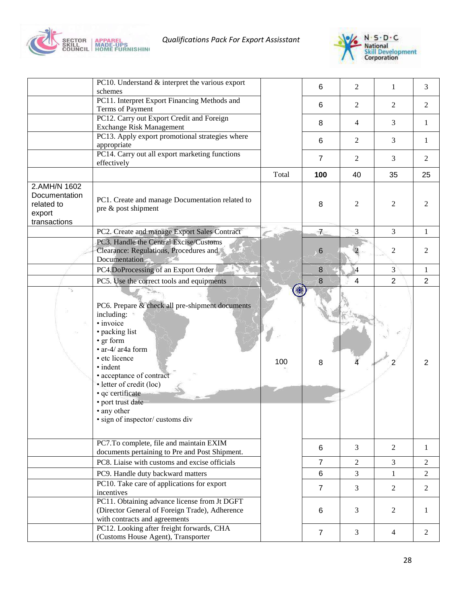

*Qualifications Pack For Export Assisstant* 



|                                                                       | PC10. Understand & interpret the various export<br>schemes                                                                                                                                                                                                                                                      |       | 6              | 2              | 1              | 3              |
|-----------------------------------------------------------------------|-----------------------------------------------------------------------------------------------------------------------------------------------------------------------------------------------------------------------------------------------------------------------------------------------------------------|-------|----------------|----------------|----------------|----------------|
|                                                                       | PC11. Interpret Export Financing Methods and<br>Terms of Payment                                                                                                                                                                                                                                                |       | 6              | 2              | 2              | 2              |
|                                                                       | PC12. Carry out Export Credit and Foreign<br>Exchange Risk Management                                                                                                                                                                                                                                           |       | 8              | $\overline{4}$ | 3              | 1              |
|                                                                       | PC13. Apply export promotional strategies where<br>appropriate                                                                                                                                                                                                                                                  |       | 6              | 2              | 3              | 1              |
|                                                                       | PC14. Carry out all export marketing functions<br>effectively                                                                                                                                                                                                                                                   |       | $\overline{7}$ | 2              | 3              | 2              |
|                                                                       |                                                                                                                                                                                                                                                                                                                 | Total | 100            | 40             | 35             | 25             |
| 2.AMH/N 1602<br>Documentation<br>related to<br>export<br>transactions | PC1. Create and manage Documentation related to<br>pre & post shipment                                                                                                                                                                                                                                          |       | 8              | 2              | 2              | 2              |
|                                                                       | PC2. Create and manage Export Sales Contract                                                                                                                                                                                                                                                                    |       | $7-$           | 3              | 3              | 1              |
|                                                                       | PC3. Handle the Central Excise/Customs<br>Clearance: Regulations, Procedures and<br>Documentation                                                                                                                                                                                                               |       | 6              |                | 2              | $\overline{2}$ |
|                                                                       | PC4.DoProcessing of an Export Order                                                                                                                                                                                                                                                                             |       | 8              | $\overline{4}$ | 3              | 1              |
|                                                                       | PC5. Use the correct tools and equipments                                                                                                                                                                                                                                                                       |       | $\bf{8}$       | 4              | $\overline{2}$ | $\overline{2}$ |
| $\mathcal{L}_{\mathcal{L}}$                                           | PC6. Prepare & check all pre-shipment documents<br>including:<br>· invoice<br>• packing list<br>• gr form<br>• ar-4/ ar4a form<br>· etc licence<br>• indent<br>• acceptance of contract<br>· letter of credit (loc)<br>· qc certificate<br>• port trust date<br>• any other<br>· sign of inspector/ customs div | 100   | 8              |                | 2              | $\overline{2}$ |
|                                                                       | PC7.To complete, file and maintain EXIM<br>documents pertaining to Pre and Post Shipment.                                                                                                                                                                                                                       |       | 6              | 3              | 2              | 1              |
|                                                                       | PC8. Liaise with customs and excise officials                                                                                                                                                                                                                                                                   |       | $\overline{7}$ | 2              | 3              | 2              |
|                                                                       | PC9. Handle duty backward matters                                                                                                                                                                                                                                                                               |       | 6              | 3              | 1              | 2              |
|                                                                       | PC10. Take care of applications for export<br>incentives                                                                                                                                                                                                                                                        |       | $\overline{7}$ | 3              | $\overline{2}$ | 2              |
|                                                                       | PC11. Obtaining advance license from Jt DGFT<br>(Director General of Foreign Trade), Adherence<br>with contracts and agreements<br>PC12. Looking after freight forwards, CHA                                                                                                                                    |       | 6              | 3              | 2              | 1              |
|                                                                       | (Customs House Agent), Transporter                                                                                                                                                                                                                                                                              |       | $\overline{7}$ | 3              | $\overline{4}$ | 2              |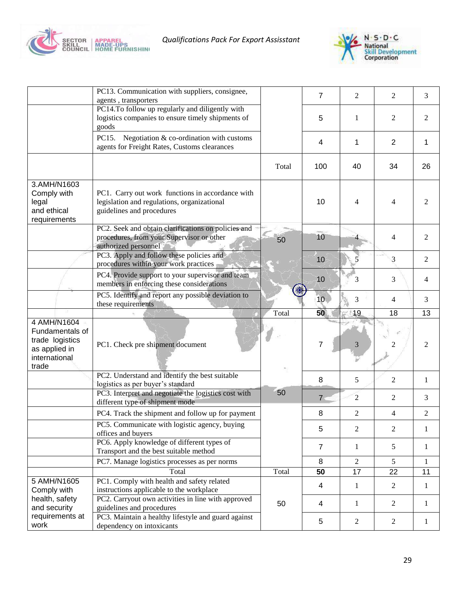



|                         | PC13. Communication with suppliers, consignee,                                   |       | $\overline{7}$  | $\overline{2}$ | 2                       | 3              |
|-------------------------|----------------------------------------------------------------------------------|-------|-----------------|----------------|-------------------------|----------------|
|                         | agents, transporters<br>PC14.To follow up regularly and diligently with          |       |                 |                |                         |                |
|                         | logistics companies to ensure timely shipments of                                |       | 5               | 1              | $\overline{2}$          | 2              |
|                         | goods                                                                            |       |                 |                |                         |                |
|                         | Negotiation $&$ co-ordination with customs<br>PC15.                              |       | 4               | 1              | $\overline{2}$          | 1              |
|                         | agents for Freight Rates, Customs clearances                                     |       |                 |                |                         |                |
|                         |                                                                                  |       |                 |                |                         |                |
|                         |                                                                                  | Total | 100             | 40             | 34                      | 26             |
| 3.AMH/N1603             |                                                                                  |       |                 |                |                         |                |
| Comply with             | PC1. Carry out work functions in accordance with                                 |       |                 |                |                         |                |
| legal                   | legislation and regulations, organizational                                      |       | 10              | 4              | 4                       | 2              |
| and ethical             | guidelines and procedures                                                        |       |                 |                |                         |                |
| requirements            |                                                                                  |       |                 |                |                         |                |
|                         | PC2. Seek and obtain clarifications on policies and                              |       |                 |                |                         |                |
|                         | procedures, from your Supervisor or other                                        | 50    | 10              |                | $\overline{\mathbf{4}}$ | $\overline{2}$ |
|                         | authorized personnel<br>PC3. Apply and follow these policies and                 |       |                 |                |                         |                |
|                         | procedures within your work practices                                            |       | 10              |                | 3                       | $\overline{2}$ |
|                         | PC4. Provide support to your supervisor and team                                 |       |                 |                |                         |                |
|                         | members in enforcing these considerations                                        |       | 10              | 3              | 3                       | 4              |
|                         | PC5. Identify and report any possible deviation to                               |       |                 |                |                         |                |
|                         | these requirements                                                               |       | 10 <sub>1</sub> | 3              | 4                       | 3              |
|                         |                                                                                  |       |                 |                |                         |                |
|                         |                                                                                  | Total | 50              | 19             | 18                      | 13             |
| 4 AMH/N1604             |                                                                                  |       |                 |                |                         |                |
| Fundamentals of         |                                                                                  |       |                 |                |                         |                |
| trade logistics         | PC1. Check pre shipment document                                                 |       | 7               | 3              | 2                       | $\overline{2}$ |
| as applied in           |                                                                                  |       |                 |                |                         |                |
| international<br>trade  |                                                                                  |       |                 |                |                         |                |
|                         | PC2. Understand and identify the best suitable                                   |       |                 |                |                         |                |
|                         | logistics as per buyer's standard                                                |       | 8               | 5              | $\overline{c}$          | 1              |
|                         | PC3. Interpret and negotiate the logistics cost with                             | 50    |                 |                |                         |                |
|                         | different type of shipment mode                                                  |       | 7 <sup>5</sup>  | $\overline{2}$ | 2                       | 3              |
|                         | PC4. Track the shipment and follow up for payment                                |       | 8               | 2              | 4                       | 2              |
|                         | PC5. Communicate with logistic agency, buying                                    |       | 5               | $\overline{c}$ | $\overline{c}$          | 1              |
|                         | offices and buyers                                                               |       |                 |                |                         |                |
|                         | PC6. Apply knowledge of different types of                                       |       | $\overline{7}$  | $\mathbf{1}$   | $\mathfrak{S}$          | $\mathbf{1}$   |
|                         | Transport and the best suitable method                                           |       | $\,8\,$         | $\overline{2}$ | 5                       | $\mathbf{1}$   |
|                         | PC7. Manage logistics processes as per norms<br>Total                            | Total | 50              | 17             | 22                      | 11             |
| 5 AMH/N1605             | PC1. Comply with health and safety related                                       |       |                 |                |                         |                |
| Comply with             | instructions applicable to the workplace                                         |       | 4               | 1              | $\overline{2}$          | $\mathbf{1}$   |
| health, safety          | PC2. Carryout own activities in line with approved                               |       |                 |                |                         |                |
| and security            | guidelines and procedures                                                        | 50    | 4               | 1              | $\overline{2}$          | 1              |
| requirements at<br>work | PC3. Maintain a healthy lifestyle and guard against<br>dependency on intoxicants |       | 5               | 2              | $\mathfrak{2}$          | $\mathbf{1}$   |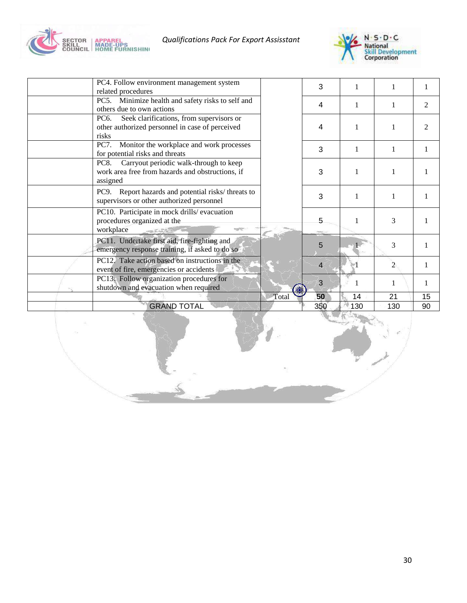

*Qualifications Pack For Export Assisstant* 



| <b>GRAND TOTAL</b>                                                                                                        |       | 350                      | 130 | 130            | 90             |
|---------------------------------------------------------------------------------------------------------------------------|-------|--------------------------|-----|----------------|----------------|
|                                                                                                                           | Total | 50                       | 14  | 21             | 15             |
| PC13. Follow organization procedures for<br>shutdown and evacuation when required                                         |       | 3                        |     | 1              |                |
| PC12. Take action based on instructions in the<br>event of fire, emergencies or accidents                                 |       | $\overline{\mathcal{L}}$ |     | $\overline{c}$ |                |
| PC11. Undertake first aid, fire-fighting and<br>emergency response training, if asked to do so                            |       | 5                        |     | 3              |                |
| PC10. Participate in mock drills/evacuation<br>procedures organized at the<br>workplace                                   |       | 5                        | 1   | 3              |                |
| PC9. Report hazards and potential risks/threats to<br>supervisors or other authorized personnel                           |       | 3                        | 1   |                |                |
| Carryout periodic walk-through to keep<br><b>PC8.</b><br>work area free from hazards and obstructions, if<br>assigned     |       | 3                        | 1   |                |                |
| Monitor the workplace and work processes<br><b>PC7.</b><br>for potential risks and threats                                |       | 3                        | 1   | 1              |                |
| Seek clarifications, from supervisors or<br>PC <sub>6</sub> .<br>other authorized personnel in case of perceived<br>risks |       | 4                        | 1   |                |                |
| Minimize health and safety risks to self and<br>PC5.<br>others due to own actions                                         |       | 4                        | 1   |                | $\mathfrak{D}$ |
| PC4. Follow environment management system<br>related procedures                                                           |       | 3                        |     |                |                |
|                                                                                                                           |       |                          |     |                |                |